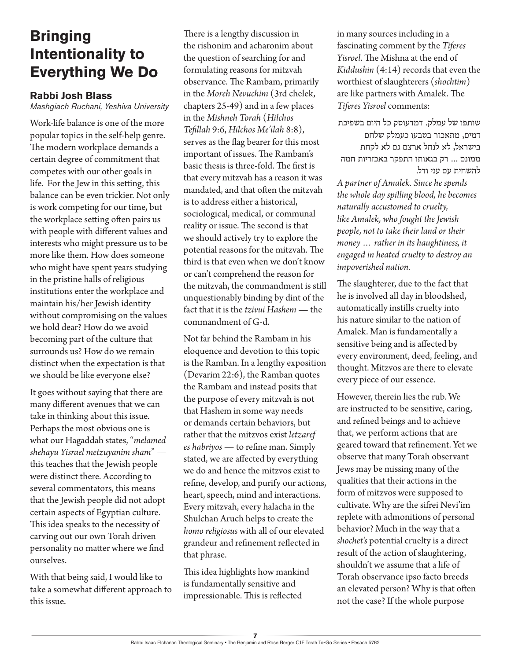## **Bringing Intentionality to Everything We Do**

## **Rabbi Josh Blass**

*Mashgiach Ruchani, Yeshiva University*

Work-life balance is one of the more popular topics in the self-help genre. The modern workplace demands a certain degree of commitment that competes with our other goals in life. For the Jew in this setting, this balance can be even trickier. Not only is work competing for our time, but the workplace setting often pairs us with people with different values and interests who might pressure us to be more like them. How does someone who might have spent years studying in the pristine halls of religious institutions enter the workplace and maintain his/her Jewish identity without compromising on the values we hold dear? How do we avoid becoming part of the culture that surrounds us? How do we remain distinct when the expectation is that we should be like everyone else?

It goes without saying that there are many different avenues that we can take in thinking about this issue. Perhaps the most obvious one is what our Hagaddah states, "*melamed shehayu Yisrael metzuyanim sham*" this teaches that the Jewish people were distinct there. According to several commentators, this means that the Jewish people did not adopt certain aspects of Egyptian culture. This idea speaks to the necessity of carving out our own Torah driven personality no matter where we find ourselves.

With that being said, I would like to take a somewhat different approach to this issue.

There is a lengthy discussion in the rishonim and acharonim about the question of searching for and formulating reasons for mitzvah observance. The Rambam, primarily in the *Moreh Nevuchim* (3rd chelek, chapters 25-49) and in a few places in the *Mishneh Torah* (*Hilchos Tefillah* 9:6, *Hilchos Me'ilah* 8:8), serves as the flag bearer for this most important of issues. The Rambam's basic thesis is three-fold. The first is that every mitzvah has a reason it was mandated, and that often the mitzvah is to address either a historical, sociological, medical, or communal reality or issue. The second is that we should actively try to explore the potential reasons for the mitzvah. The third is that even when we don't know or can't comprehend the reason for the mitzvah, the commandment is still unquestionably binding by dint of the fact that it is the *tzivui Hashem* — the commandment of G-d.

Not far behind the Rambam in his eloquence and devotion to this topic is the Ramban. In a lengthy exposition (Devarim 22:6), the Ramban quotes the Rambam and instead posits that the purpose of every mitzvah is not that Hashem in some way needs or demands certain behaviors, but rather that the mitzvos exist *letzaref es habriyos* — to refine man. Simply stated, we are affected by everything we do and hence the mitzvos exist to refine, develop, and purify our actions, heart, speech, mind and interactions. Every mitzvah, every halacha in the Shulchan Aruch helps to create the *homo religiosus* with all of our elevated grandeur and refinement reflected in that phrase.

This idea highlights how mankind is fundamentally sensitive and impressionable. This is reflected

in many sources including in a fascinating comment by the *Tiferes Yisroel*. The Mishna at the end of *Kiddushin* (4:14) records that even the worthiest of slaughterers (*shochtim*) are like partners with Amalek. The *Tiferes Yisroel* comments:

שותפו של עמלק. דמדעוסק כל היום בשפיכת דמים, מתאכזר בטבעו כעמלק שלחם בישראל, לא לנחל ארצם גם לא לקחת ממונם ... רק בגאותו התפקר באכזריות חמה להשחית עם עני ודל.

*A partner of Amalek. Since he spends the whole day spilling blood, he becomes naturally accustomed to cruelty, like Amalek, who fought the Jewish people, not to take their land or their money … rather in its haughtiness, it engaged in heated cruelty to destroy an impoverished nation.*

The slaughterer, due to the fact that he is involved all day in bloodshed, automatically instills cruelty into his nature similar to the nation of Amalek. Man is fundamentally a sensitive being and is affected by every environment, deed, feeling, and thought. Mitzvos are there to elevate every piece of our essence.

However, therein lies the rub. We are instructed to be sensitive, caring, and refined beings and to achieve that, we perform actions that are geared toward that refinement. Yet we observe that many Torah observant Jews may be missing many of the qualities that their actions in the form of mitzvos were supposed to cultivate. Why are the sifrei Nevi'im replete with admonitions of personal behavior? Much in the way that a *shochet's* potential cruelty is a direct result of the action of slaughtering, shouldn't we assume that a life of Torah observance ipso facto breeds an elevated person? Why is that often not the case? If the whole purpose